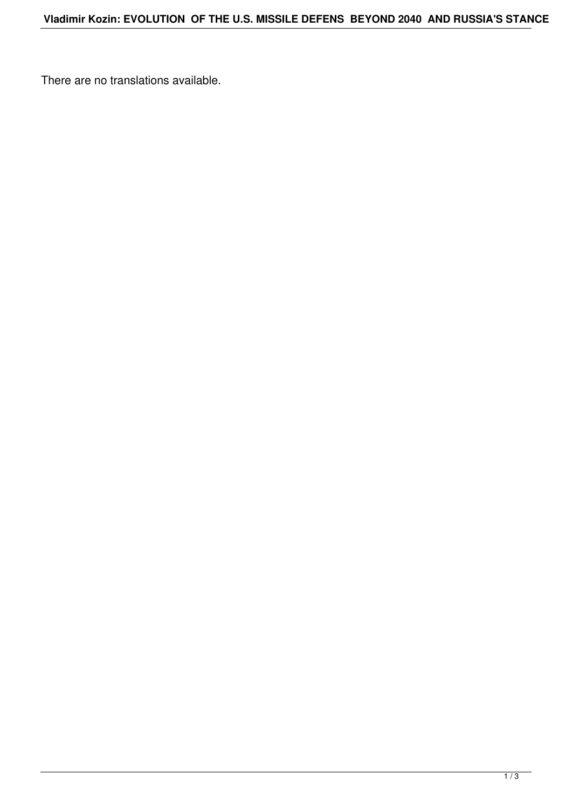There are no translations available.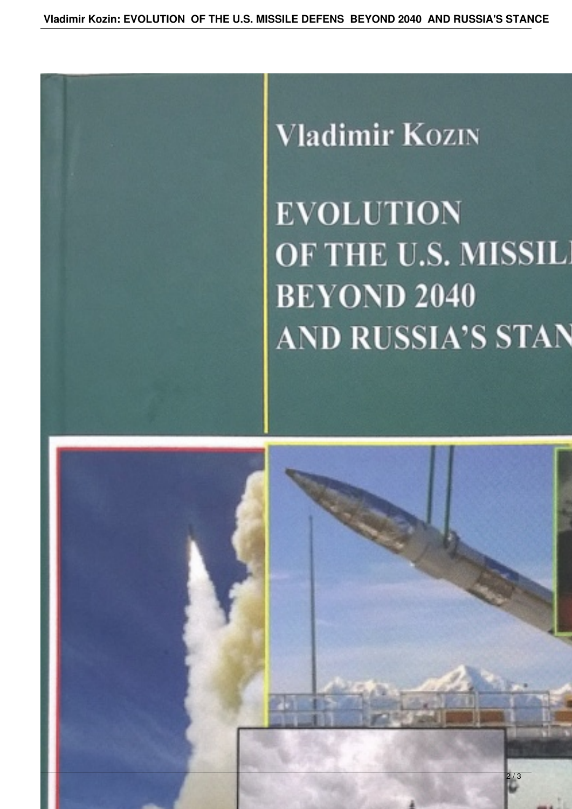